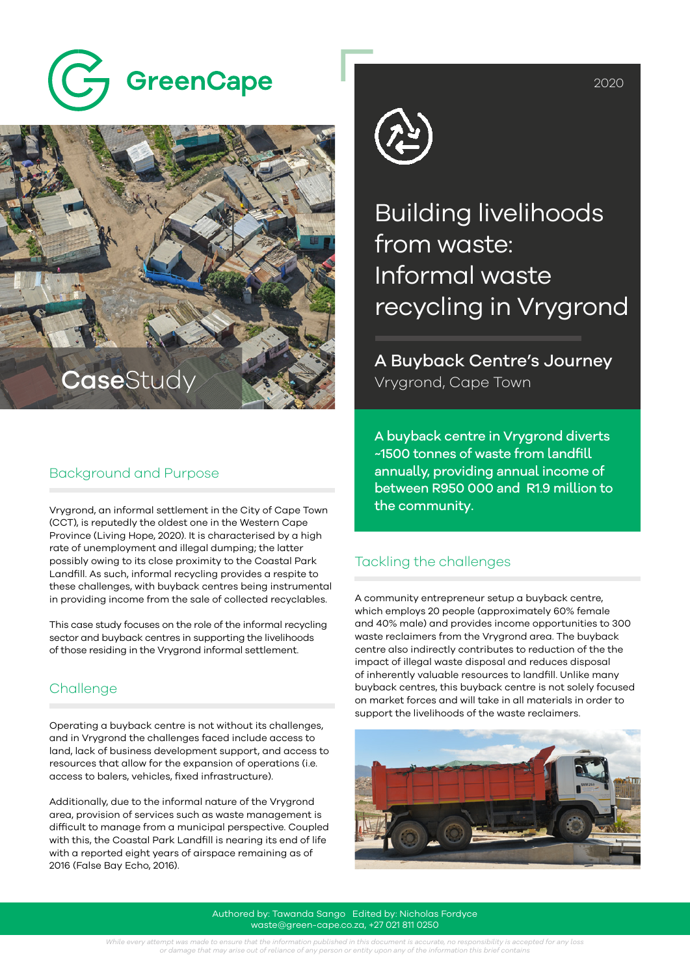



#### Background and Purpose

Vrygrond, an informal settlement in the City of Cape Town the community. (CCT), is reputedly the oldest one in the Western Cape Province (Living Hope, 2020). It is characterised by a high rate of unemployment and illegal dumping; the latter possibly owing to its close proximity to the Coastal Park Landfill. As such, informal recycling provides a respite to these challenges, with buyback centres being instrumental in providing income from the sale of collected recyclables.

This case study focuses on the role of the informal recycling sector and buyback centres in supporting the livelihoods of those residing in the Vrygrond informal settlement.

## **Challenge**

Operating a buyback centre is not without its challenges, and in Vrygrond the challenges faced include access to land, lack of business development support, and access to resources that allow for the expansion of operations (i.e. access to balers, vehicles, fixed infrastructure).

Additionally, due to the informal nature of the Vrygrond area, provision of services such as waste management is difficult to manage from a municipal perspective. Coupled with this, the Coastal Park Landfill is nearing its end of life with a reported eight years of airspace remaining as of 2016 (False Bay Echo, 2016).



Building livelihoods from waste: Informal waste recycling in Vrygrond

A Buyback Centre's Journey Vrygrond, Cape Town

A buyback centre in Vrygrond diverts ~1500 tonnes of waste from landfill annually, providing annual income of between R950 000 and R1.9 million to

### Tackling the challenges

A community entrepreneur setup a buyback centre, which employs 20 people (approximately 60% female and 40% male) and provides income opportunities to 300 waste reclaimers from the Vrygrond area. The buyback centre also indirectly contributes to reduction of the the impact of illegal waste disposal and reduces disposal of inherently valuable resources to landfill. Unlike many buyback centres, this buyback centre is not solely focused on market forces and will take in all materials in order to support the livelihoods of the waste reclaimers.



Authored by: Tawanda Sango Edited by: Nicholas Fordyce waste@green-cape.co.za, +27 021 811 0250

While every attempt was made to ensure that the information published in this document is accurate, no responsibility is accepted for any loss<br>or damage that may arise out of reliance of any person or entity upon any of th